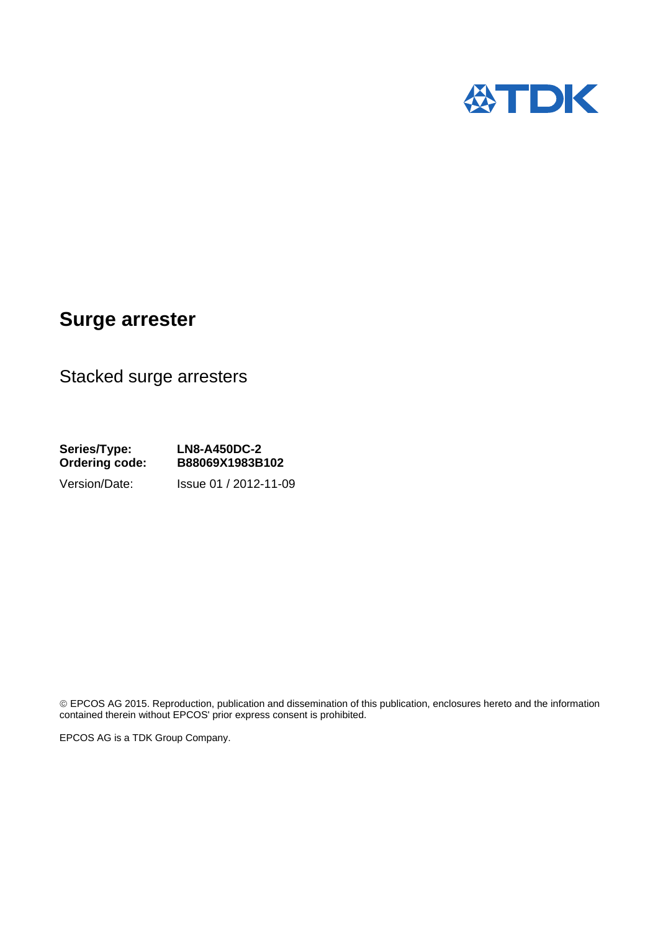

## **Surge arrester**

Stacked surge arresters

**Series/Type: LN8-A450DC-2 Ordering code: B88069X1983B102**  Version/Date: Issue 01 / 2012-11-09

© EPCOS AG 2015. Reproduction, publication and dissemination of this publication, enclosures hereto and the information contained therein without EPCOS' prior express consent is prohibited.

EPCOS AG is a TDK Group Company.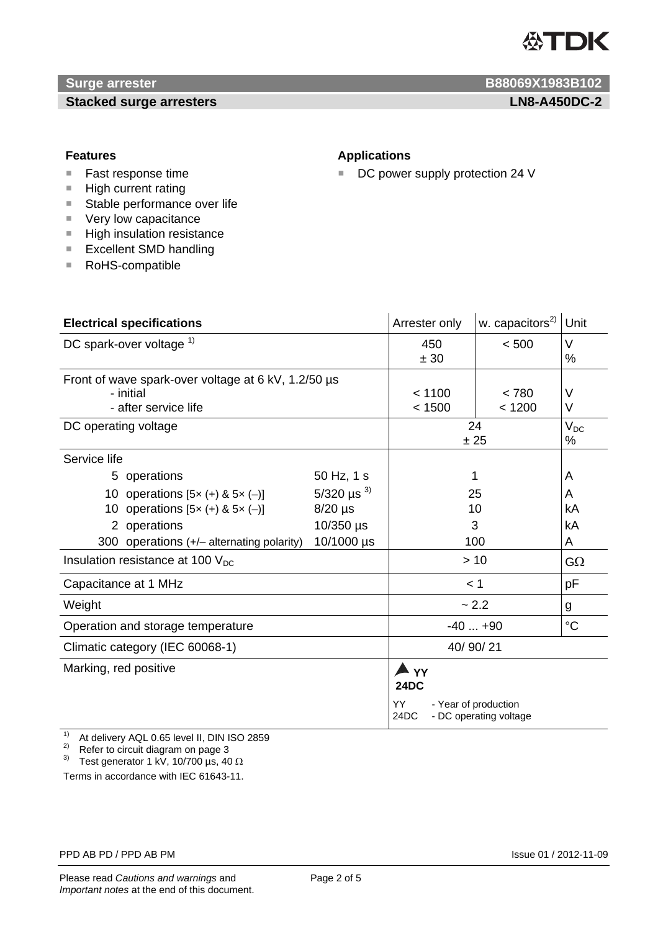

## **Stacked surge arresters LN8-A450DC-2**

*Surge arrester* **B88069X1983B102** 

- Fast response time
- $H$  High current rating
- Stable performance over life
- Very low capacitance
- **High insulation resistance**
- Excellent SMD handling
- RoHS-compatible

#### **Features Applications**

■ DC power supply protection 24 V

| <b>Electrical specifications</b>                                                                                                                                                                                                       |                                                                                     | Arrester only                                                                         | w. capacitors <sup>2)</sup>      | Unit                                       |
|----------------------------------------------------------------------------------------------------------------------------------------------------------------------------------------------------------------------------------------|-------------------------------------------------------------------------------------|---------------------------------------------------------------------------------------|----------------------------------|--------------------------------------------|
| DC spark-over voltage $1$                                                                                                                                                                                                              |                                                                                     | 450<br>± 30                                                                           | < 500                            | V<br>%                                     |
| Front of wave spark-over voltage at 6 kV, 1.2/50 µs<br>- initial<br>- after service life                                                                                                                                               |                                                                                     | < 1100<br>< 1500                                                                      | < 780<br>< 1200                  | $\vee$<br>V                                |
| DC operating voltage                                                                                                                                                                                                                   |                                                                                     | 24<br>± 25                                                                            |                                  | $V_{DC}$<br>℅                              |
| Service life<br>5 operations<br>10 operations $[5x (+) & 5x (-)]$<br>10 operations $[5x (+) & 5x (-)]$<br>2 operations<br>300 operations $(+/-$ alternating polarity)<br>Insulation resistance at 100 $V_{DC}$<br>Capacitance at 1 MHz | 50 Hz, 1 s<br>5/320 $\mu$ s <sup>3)</sup><br>$8/20$ µs<br>$10/350$ µs<br>10/1000 µs | < 1                                                                                   | 1<br>25<br>10<br>3<br>100<br>>10 | A<br>A<br>kA<br>kA<br>A<br>$G\Omega$<br>pF |
| Weight                                                                                                                                                                                                                                 |                                                                                     | ~2.2                                                                                  |                                  | g                                          |
| Operation and storage temperature                                                                                                                                                                                                      |                                                                                     | $-40+90$                                                                              |                                  | $\rm ^{\circ}C$                            |
| Climatic category (IEC 60068-1)                                                                                                                                                                                                        |                                                                                     | 40/90/21                                                                              |                                  |                                            |
| Marking, red positive                                                                                                                                                                                                                  |                                                                                     | N YY⊾<br><b>24DC</b><br>YY.<br>- Year of production<br>24DC<br>- DC operating voltage |                                  |                                            |

<sup>1)</sup> At delivery AQL 0.65 level II, DIN ISO 2859

2) At delivery ASL 0.00 level it,  $2^{12}$  Refer to circuit diagram on page 3

<sup>3)</sup> Test generator 1 kV, 10/700  $\mu$ s, 40  $\Omega$ 

Terms in accordance with IEC 61643-11.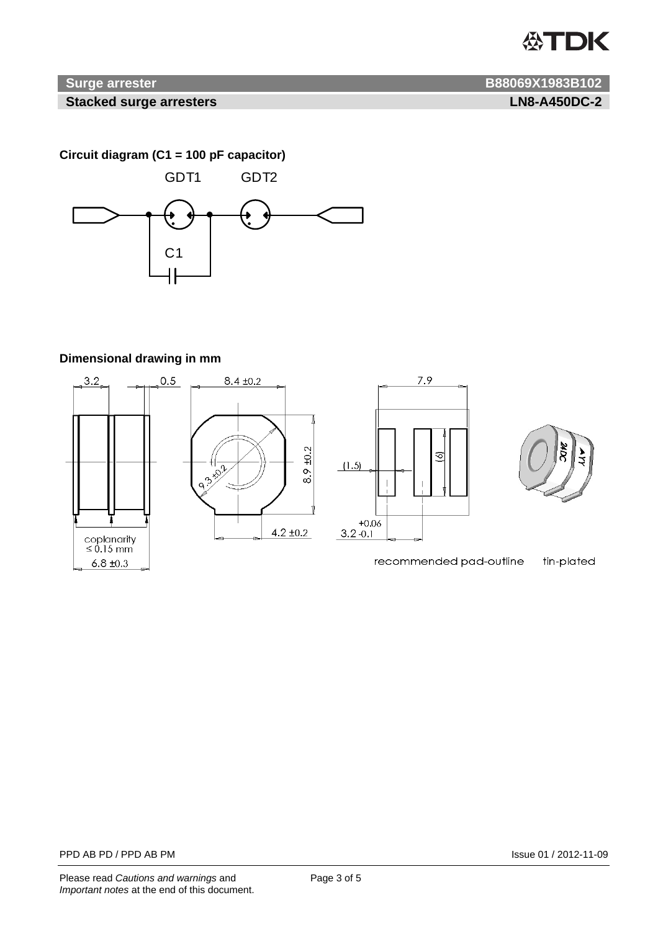# **公TDK**

## **1988069X1983B102 B88069X1983B102**

#### **Stacked surge arresters LN8-A450DC-2**

**Circuit diagram (C1 = 100 pF capacitor)**



## **Dimensional drawing in mm**







recommended pad-outline

tin-plated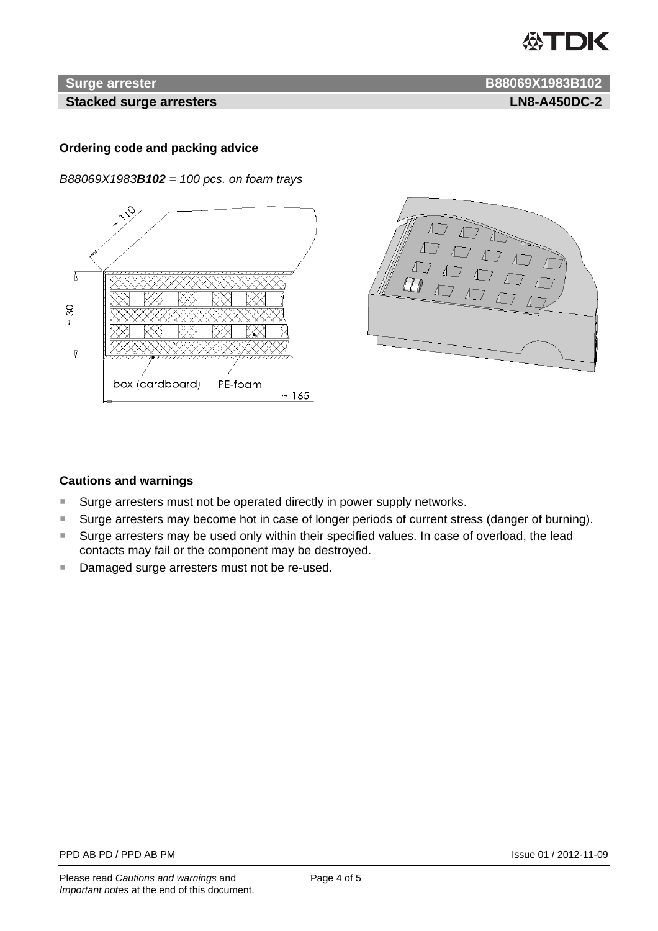# **ASTDK**

#### **Stacked surge arresters LN8-A450DC-2**

**Surge arrester B88069X1983B102** 

### **Ordering code and packing advice**

*B88069X1983B102 = 100 pcs. on foam trays* 





#### **Cautions and warnings**

- Surge arresters must not be operated directly in power supply networks.
- Surge arresters may become hot in case of longer periods of current stress (danger of burning).
- Surge arresters may be used only within their specified values. In case of overload, the lead contacts may fail or the component may be destroyed.
- Damaged surge arresters must not be re-used.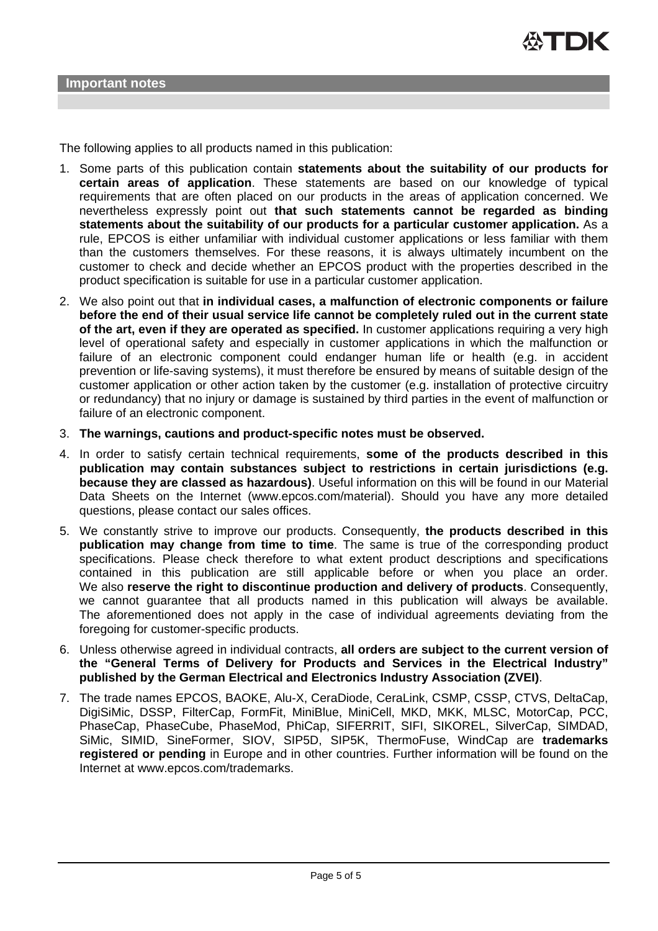The following applies to all products named in this publication:

- 1. Some parts of this publication contain **statements about the suitability of our products for certain areas of application**. These statements are based on our knowledge of typical requirements that are often placed on our products in the areas of application concerned. We nevertheless expressly point out **that such statements cannot be regarded as binding statements about the suitability of our products for a particular customer application.** As a rule, EPCOS is either unfamiliar with individual customer applications or less familiar with them than the customers themselves. For these reasons, it is always ultimately incumbent on the customer to check and decide whether an EPCOS product with the properties described in the product specification is suitable for use in a particular customer application.
- 2. We also point out that **in individual cases, a malfunction of electronic components or failure before the end of their usual service life cannot be completely ruled out in the current state of the art, even if they are operated as specified.** In customer applications requiring a very high level of operational safety and especially in customer applications in which the malfunction or failure of an electronic component could endanger human life or health (e.g. in accident prevention or life-saving systems), it must therefore be ensured by means of suitable design of the customer application or other action taken by the customer (e.g. installation of protective circuitry or redundancy) that no injury or damage is sustained by third parties in the event of malfunction or failure of an electronic component.
- 3. **The warnings, cautions and product-specific notes must be observed.**
- 4. In order to satisfy certain technical requirements, **some of the products described in this publication may contain substances subject to restrictions in certain jurisdictions (e.g. because they are classed as hazardous)**. Useful information on this will be found in our Material Data Sheets on the Internet (www.epcos.com/material). Should you have any more detailed questions, please contact our sales offices.
- 5. We constantly strive to improve our products. Consequently, **the products described in this publication may change from time to time**. The same is true of the corresponding product specifications. Please check therefore to what extent product descriptions and specifications contained in this publication are still applicable before or when you place an order. We also **reserve the right to discontinue production and delivery of products**. Consequently, we cannot guarantee that all products named in this publication will always be available. The aforementioned does not apply in the case of individual agreements deviating from the foregoing for customer-specific products.
- 6. Unless otherwise agreed in individual contracts, **all orders are subject to the current version of the "General Terms of Delivery for Products and Services in the Electrical Industry" published by the German Electrical and Electronics Industry Association (ZVEI)**.
- 7. The trade names EPCOS, BAOKE, Alu-X, CeraDiode, CeraLink, CSMP, CSSP, CTVS, DeltaCap, DigiSiMic, DSSP, FilterCap, FormFit, MiniBlue, MiniCell, MKD, MKK, MLSC, MotorCap, PCC, PhaseCap, PhaseCube, PhaseMod, PhiCap, SIFERRIT, SIFI, SIKOREL, SilverCap, SIMDAD, SiMic, SIMID, SineFormer, SIOV, SIP5D, SIP5K, ThermoFuse, WindCap are **trademarks registered or pending** in Europe and in other countries. Further information will be found on the Internet at www.epcos.com/trademarks.